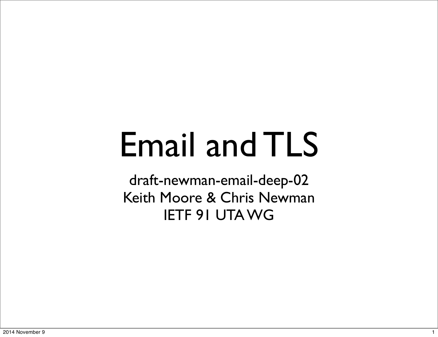#### Email and TLS

draft-newman-email-deep-02 Keith Moore & Chris Newman IETF 91 UTA WG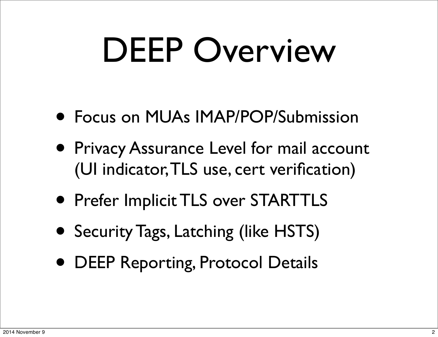### DEEP Overview

- Focus on MUAs IMAP/POP/Submission
- Privacy Assurance Level for mail account (UI indicator, TLS use, cert verification)
- Prefer Implicit TLS over STARTTLS
- Security Tags, Latching (like HSTS)
- DEEP Reporting, Protocol Details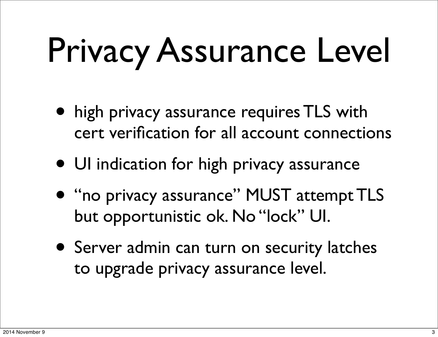# Privacy Assurance Level

- high privacy assurance requires TLS with cert verification for all account connections
- UI indication for high privacy assurance
- "no privacy assurance" MUST attempt TLS but opportunistic ok. No "lock" UI.
- Server admin can turn on security latches to upgrade privacy assurance level.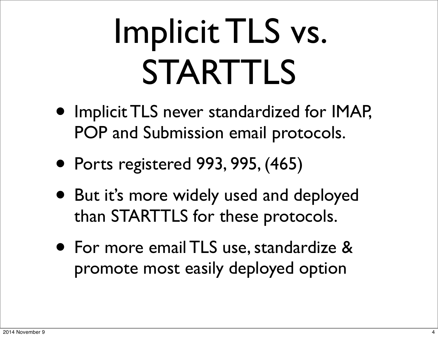## Implicit TLS vs. STARTTLS

- Implicit TLS never standardized for IMAP, POP and Submission email protocols.
- Ports registered 993, 995, (465)
- But it's more widely used and deployed than STARTTLS for these protocols.
- For more email TLS use, standardize & promote most easily deployed option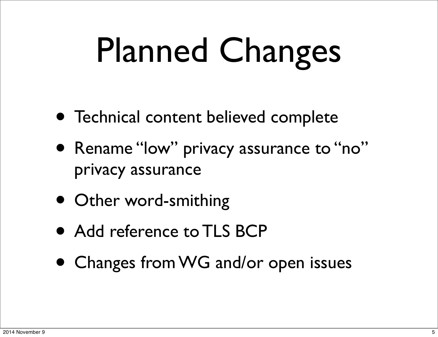# Planned Changes

- Technical content believed complete
- Rename "low" privacy assurance to "no" privacy assurance
- Other word-smithing
- Add reference to TLS BCP
- Changes from WG and/or open issues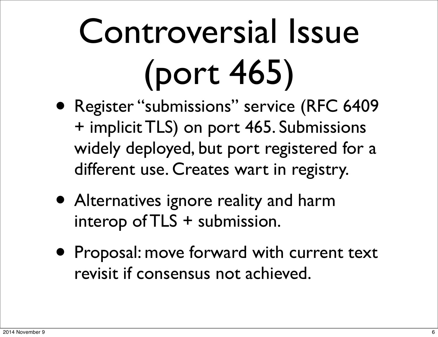# Controversial Issue (port 465)

- Register "submissions" service (RFC 6409 + implicit TLS) on port 465. Submissions widely deployed, but port registered for a different use. Creates wart in registry.
- Alternatives ignore reality and harm interop of TLS + submission.
- Proposal: move forward with current text revisit if consensus not achieved.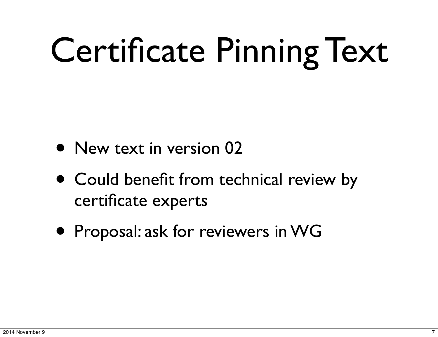# Certificate Pinning Text

- New text in version 02
- Could benefit from technical review by certificate experts
- Proposal: ask for reviewers in WG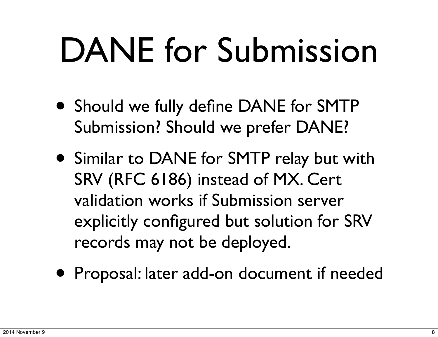### DANE for Submission

- Should we fully define DANE for SMTP Submission? Should we prefer DANE?
- Similar to DANE for SMTP relay but with SRV (RFC 6186) instead of MX. Cert validation works if Submission server explicitly configured but solution for SRV records may not be deployed.
- Proposal: later add-on document if needed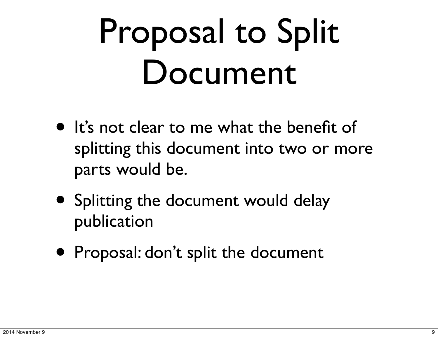### Proposal to Split Document

- It's not clear to me what the benefit of splitting this document into two or more parts would be.
- Splitting the document would delay publication
- Proposal: don't split the document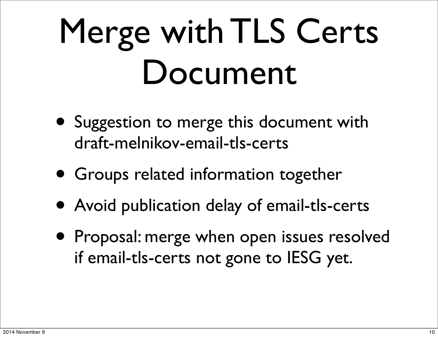## Merge with TLS Certs Document

- Suggestion to merge this document with draft-melnikov-email-tls-certs
- Groups related information together
- Avoid publication delay of email-tls-certs
- Proposal: merge when open issues resolved if email-tls-certs not gone to IESG yet.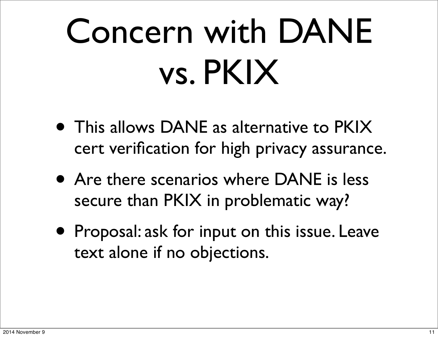## Concern with DANE vs. PKIX

- This allows DANE as alternative to PKIX cert verification for high privacy assurance.
- Are there scenarios where DANE is less secure than PKIX in problematic way?
- Proposal: ask for input on this issue. Leave text alone if no objections.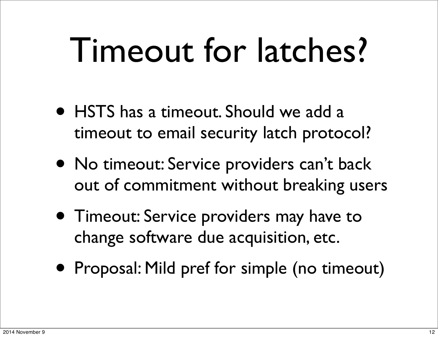### Timeout for latches?

- HSTS has a timeout. Should we add a timeout to email security latch protocol?
- No timeout: Service providers can't back out of commitment without breaking users
- Timeout: Service providers may have to change software due acquisition, etc.
- Proposal: Mild pref for simple (no timeout)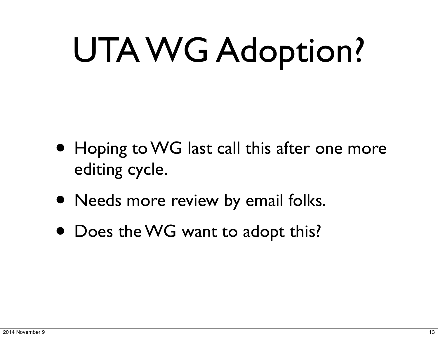# UTA WG Adoption?

- Hoping to WG last call this after one more editing cycle.
- Needs more review by email folks.
- Does the WG want to adopt this?